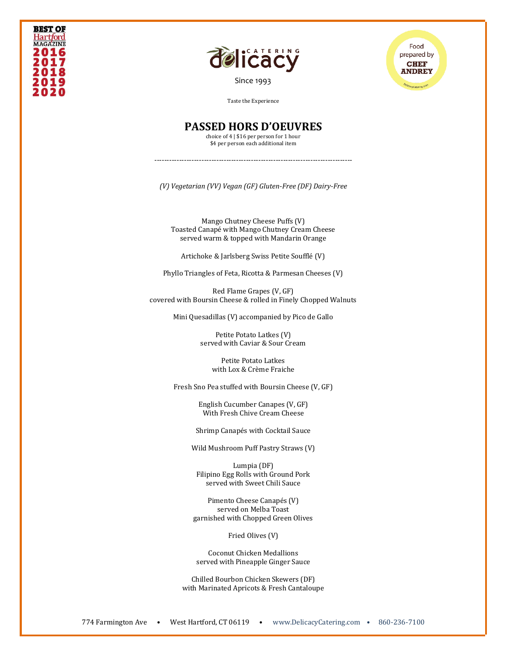



Food prepared by **CHEF ANDREY** 

Taste the Experience

## **PASSED HORS D'OEUVRES**

choice of 4 | \$16 per person for 1 hour \$4 per person each additional item

--------------------------------------------------------------------------------

*(V) Vegetarian (VV) Vegan (GF) Gluten-Free (DF) Dairy-Free*

Mango Chutney Cheese Puffs (V) Toasted Canapé with Mango Chutney Cream Cheese served warm & topped with Mandarin Orange

Artichoke & Jarlsberg Swiss Petite Soufflé (V)

Phyllo Triangles of Feta, Ricotta & Parmesan Cheeses (V)

Red Flame Grapes (V, GF) covered with Boursin Cheese & rolled in Finely Chopped Walnuts

Mini Quesadillas (V) accompanied by Pico de Gallo

Petite Potato Latkes (V) served with Caviar & Sour Cream

> Petite Potato Latkes with Lox & Crème Fraiche

Fresh Sno Pea stuffed with Boursin Cheese (V, GF)

English Cucumber Canapes (V, GF) With Fresh Chive Cream Cheese

Shrimp Canapés with Cocktail Sauce

Wild Mushroom Puff Pastry Straws (V)

Lumpia (DF) Filipino Egg Rolls with Ground Pork served with Sweet Chili Sauce

Pimento Cheese Canapés (V) served on Melba Toast garnished with Chopped Green Olives

Fried Olives (V)

Coconut Chicken Medallions served with Pineapple Ginger Sauce

Chilled Bourbon Chicken Skewers (DF) with Marinated Apricots & Fresh Cantaloupe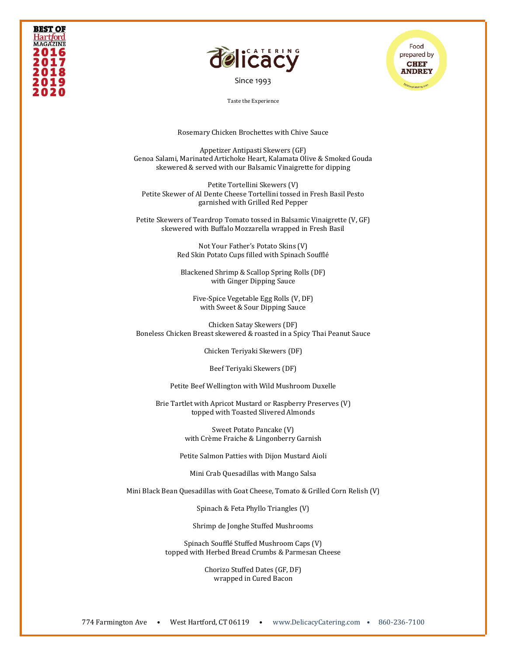

[Since 1993](file:///C:/Users/DelicacyCatering/Dropbox/DELCATERING/1%20Stationary/delicacycatering.com)

Food prepared by **CHEF ANDREY** 

Taste the Experience

Rosemary Chicken Brochettes with Chive Sauce

Appetizer Antipasti Skewers (GF) Genoa Salami, Marinated Artichoke Heart, Kalamata Olive & Smoked Gouda skewered & served with our Balsamic Vinaigrette for dipping

Petite Tortellini Skewers (V) Petite Skewer of Al Dente Cheese Tortellini tossed in Fresh Basil Pesto garnished with Grilled Red Pepper

Petite Skewers of Teardrop Tomato tossed in Balsamic Vinaigrette (V, GF) skewered with Buffalo Mozzarella wrapped in Fresh Basil

> Not Your Father's Potato Skins (V) Red Skin Potato Cups filled with Spinach Soufflé

Blackened Shrimp & Scallop Spring Rolls (DF) with Ginger Dipping Sauce

Five-Spice Vegetable Egg Rolls (V, DF) with Sweet & Sour Dipping Sauce

Chicken Satay Skewers (DF) Boneless Chicken Breast skewered & roasted in a Spicy Thai Peanut Sauce

Chicken Teriyaki Skewers (DF)

Beef Teriyaki Skewers (DF)

Petite Beef Wellington with Wild Mushroom Duxelle

Brie Tartlet with Apricot Mustard or Raspberry Preserves (V) topped with Toasted Slivered Almonds

> Sweet Potato Pancake (V) with Crème Fraiche & Lingonberry Garnish

Petite Salmon Patties with Dijon Mustard Aioli

Mini Crab Quesadillas with Mango Salsa

Mini Black Bean Quesadillas with Goat Cheese, Tomato & Grilled Corn Relish (V)

Spinach & Feta Phyllo Triangles (V)

Shrimp de Jonghe Stuffed Mushrooms

Spinach Soufflé Stuffed Mushroom Caps (V) topped with Herbed Bread Crumbs & Parmesan Cheese

> Chorizo Stuffed Dates (GF, DF) wrapped in Cured Bacon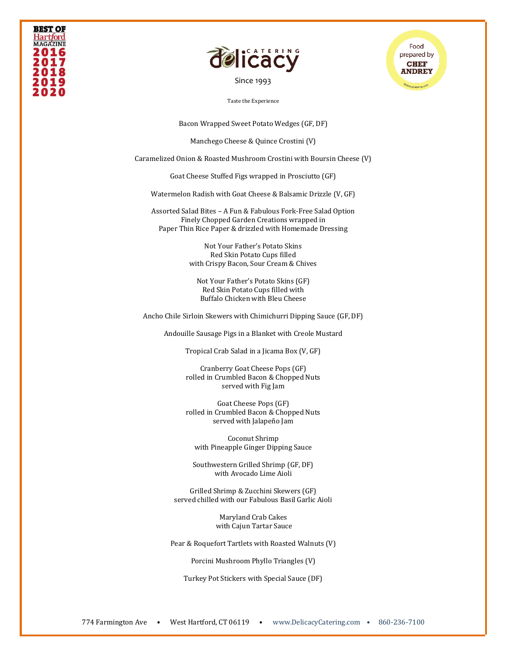

[Since 1993](file:///C:/Users/DelicacyCatering/Dropbox/DELCATERING/1%20Stationary/delicacycatering.com)



Taste the Experience

Bacon Wrapped Sweet Potato Wedges (GF, DF)

Manchego Cheese & Quince Crostini (V)

Caramelized Onion & Roasted Mushroom Crostini with Boursin Cheese (V)

Goat Cheese Stuffed Figs wrapped in Prosciutto (GF)

Watermelon Radish with Goat Cheese & Balsamic Drizzle (V, GF)

Assorted Salad Bites – A Fun & Fabulous Fork-Free Salad Option Finely Chopped Garden Creations wrapped in Paper Thin Rice Paper & drizzled with Homemade Dressing

> Not Your Father's Potato Skins Red Skin Potato Cups filled with Crispy Bacon, Sour Cream & Chives

Not Your Father's Potato Skins (GF) Red Skin Potato Cups filled with Buffalo Chicken with Bleu Cheese

Ancho Chile Sirloin Skewers with Chimichurri Dipping Sauce (GF, DF)

Andouille Sausage Pigs in a Blanket with Creole Mustard

Tropical Crab Salad in a Jicama Box (V, GF)

Cranberry Goat Cheese Pops (GF) rolled in Crumbled Bacon & Chopped Nuts served with Fig Jam

Goat Cheese Pops (GF) rolled in Crumbled Bacon & Chopped Nuts served with Jalapeño Jam

Coconut Shrimp with Pineapple Ginger Dipping Sauce

Southwestern Grilled Shrimp (GF, DF) with Avocado Lime Aioli

Grilled Shrimp & Zucchini Skewers (GF) served chilled with our Fabulous Basil Garlic Aioli

> Maryland Crab Cakes with Cajun Tartar Sauce

Pear & Roquefort Tartlets with Roasted Walnuts (V)

Porcini Mushroom Phyllo Triangles (V)

Turkey Pot Stickers with Special Sauce (DF)